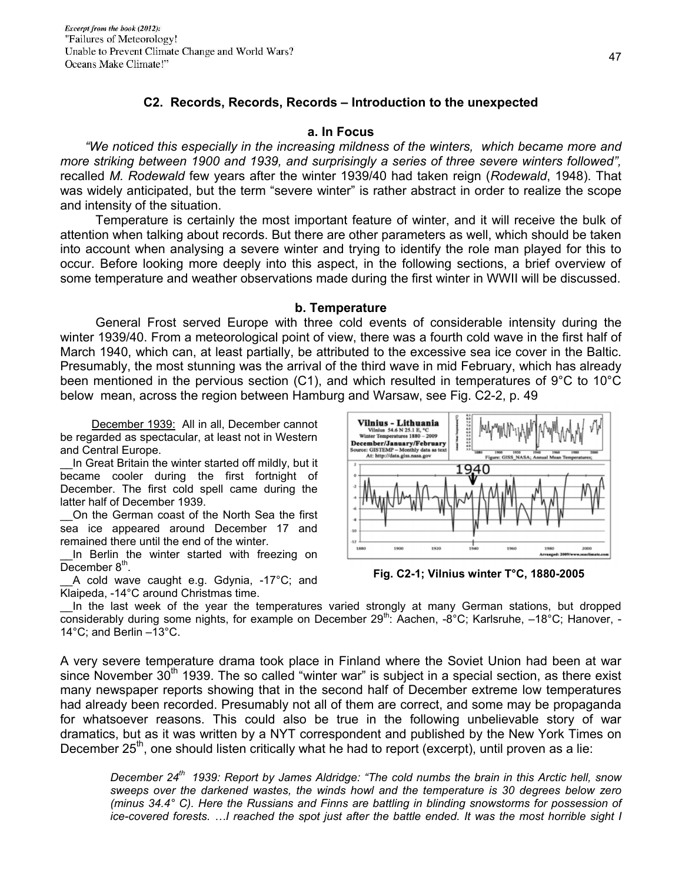### **C2. Records, Records, Records – Introduction to the unexpected**

## **a. In Focus**

 *"We noticed this especially in the increasing mildness of the winters, which became more and more striking between 1900 and 1939, and surprisingly a series of three severe winters followed",*  recalled *M. Rodewald* few years after the winter 1939/40 had taken reign (*Rodewald*, 1948). That was widely anticipated, but the term "severe winter" is rather abstract in order to realize the scope and intensity of the situation.

 Temperature is certainly the most important feature of winter, and it will receive the bulk of attention when talking about records. But there are other parameters as well, which should be taken into account when analysing a severe winter and trying to identify the role man played for this to occur. Before looking more deeply into this aspect, in the following sections, a brief overview of some temperature and weather observations made during the first winter in WWII will be discussed.

## **b. Temperature**

 General Frost served Europe with three cold events of considerable intensity during the winter 1939/40. From a meteorological point of view, there was a fourth cold wave in the first half of March 1940, which can, at least partially, be attributed to the excessive sea ice cover in the Baltic. Presumably, the most stunning was the arrival of the third wave in mid February, which has already been mentioned in the pervious section (C1), and which resulted in temperatures of 9°C to 10°C below mean, across the region between Hamburg and Warsaw, see Fig. C2-2, p. 49

 December 1939: All in all, December cannot be regarded as spectacular, at least not in Western and Central Europe.

In Great Britain the winter started off mildly, but it became cooler during the first fortnight of December. The first cold spell came during the latter half of December 1939.

\_\_On the German coast of the North Sea the first sea ice appeared around December 17 and remained there until the end of the winter.

In Berlin the winter started with freezing on December  $8<sup>th</sup>$ .

A cold wave caught e.g. Gdynia, -17°C; and Klaipeda, -14°C around Christmas time.



**Fig. C2-1; Vilnius winter T°C, 1880-2005** 

In the last week of the year the temperatures varied strongly at many German stations, but dropped considerably during some nights, for example on December 29th: Aachen, -8°C; Karlsruhe,  $-18^{\circ}$ C; Hanover, -14°C; and Berlin –13°C.

A very severe temperature drama took place in Finland where the Soviet Union had been at war since November  $30<sup>th</sup>$  1939. The so called "winter war" is subject in a special section, as there exist many newspaper reports showing that in the second half of December extreme low temperatures had already been recorded. Presumably not all of them are correct, and some may be propaganda for whatsoever reasons. This could also be true in the following unbelievable story of war dramatics, but as it was written by a NYT correspondent and published by the New York Times on December  $25<sup>th</sup>$ , one should listen critically what he had to report (excerpt), until proven as a lie:

*December 24th 1939: Report by James Aldridge: "The cold numbs the brain in this Arctic hell, snow sweeps over the darkened wastes, the winds howl and the temperature is 30 degrees below zero (minus 34.4° C). Here the Russians and Finns are battling in blinding snowstorms for possession of ice-covered forests. …I reached the spot just after the battle ended. It was the most horrible sight I*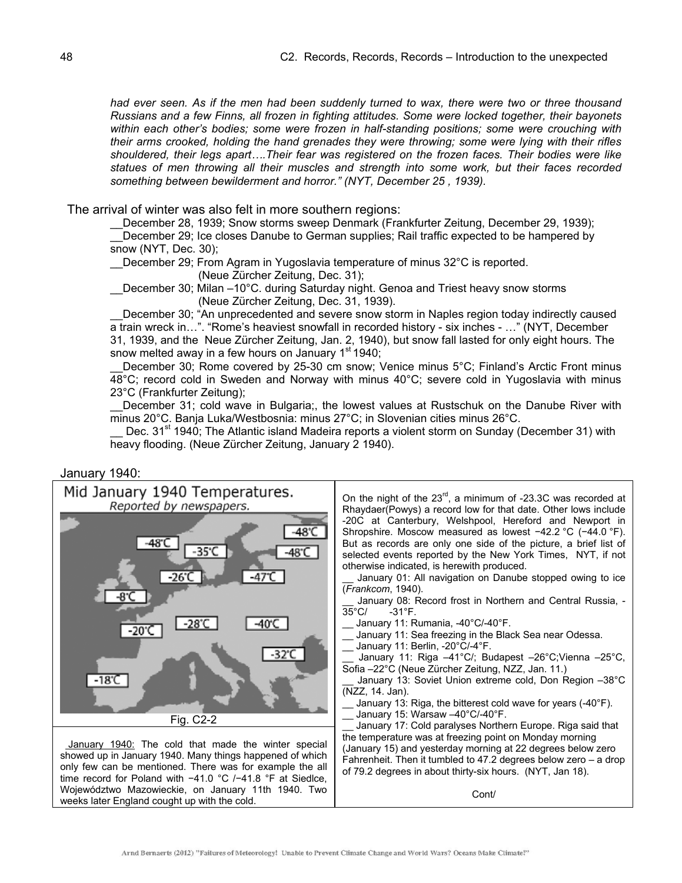*had ever seen. As if the men had been suddenly turned to wax, there were two or three thousand Russians and a few Finns, all frozen in fighting attitudes. Some were locked together, their bayonets within each other's bodies; some were frozen in half-standing positions; some were crouching with their arms crooked, holding the hand grenades they were throwing; some were lying with their rifles shouldered, their legs apart….Their fear was registered on the frozen faces. Their bodies were like statues of men throwing all their muscles and strength into some work, but their faces recorded something between bewilderment and horror." (NYT, December 25 , 1939).* 

The arrival of winter was also felt in more southern regions:

December 28, 1939; Snow storms sweep Denmark (Frankfurter Zeitung, December 29, 1939); December 29; Ice closes Danube to German supplies; Rail traffic expected to be hampered by snow (NYT, Dec. 30);

December 29; From Agram in Yugoslavia temperature of minus 32°C is reported.

(Neue Zürcher Zeitung, Dec. 31);

\_\_December 30; Milan –10°C. during Saturday night. Genoa and Triest heavy snow storms (Neue Zürcher Zeitung, Dec. 31, 1939).

December 30: "An unprecedented and severe snow storm in Naples region today indirectly caused a train wreck in…". "Rome's heaviest snowfall in recorded history - six inches - …" (NYT, December 31, 1939, and the Neue Zürcher Zeitung, Jan. 2, 1940), but snow fall lasted for only eight hours. The snow melted away in a few hours on January 1<sup>st</sup> 1940;

December 30; Rome covered by 25-30 cm snow; Venice minus 5°C; Finland's Arctic Front minus 48°C; record cold in Sweden and Norway with minus 40°C; severe cold in Yugoslavia with minus 23°C (Frankfurter Zeitung);

December 31; cold wave in Bulgaria;, the lowest values at Rustschuk on the Danube River with minus 20°C. Banja Luka/Westbosnia: minus 27°C; in Slovenian cities minus 26°C.

Dec. 31<sup>st</sup> 1940; The Atlantic island Madeira reports a violent storm on Sunday (December 31) with heavy flooding. (Neue Zürcher Zeitung, January 2 1940).

#### January 1940:



Arnd Bernaerts (2012) "Failures of Meteorology! Unable to Prevent Climate Change and World Wars? Oceans Make Climate!"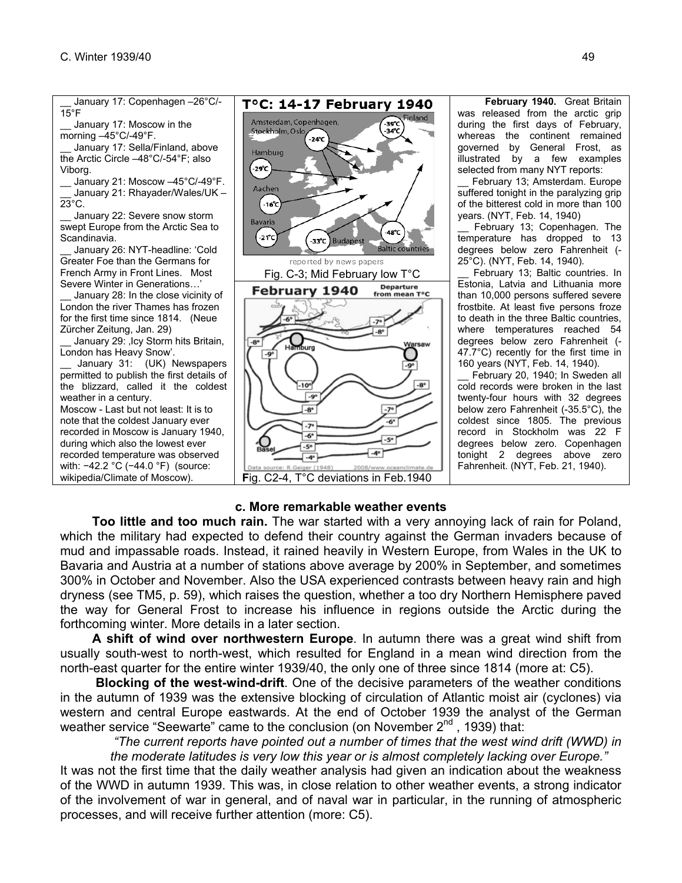

# **c. More remarkable weather events**

 **Too little and too much rain.** The war started with a very annoying lack of rain for Poland, which the military had expected to defend their country against the German invaders because of mud and impassable roads. Instead, it rained heavily in Western Europe, from Wales in the UK to Bavaria and Austria at a number of stations above average by 200% in September, and sometimes 300% in October and November. Also the USA experienced contrasts between heavy rain and high dryness (see TM5, p. 59), which raises the question, whether a too dry Northern Hemisphere paved the way for General Frost to increase his influence in regions outside the Arctic during the forthcoming winter. More details in a later section.

 **A shift of wind over northwestern Europe**. In autumn there was a great wind shift from usually south-west to north-west, which resulted for England in a mean wind direction from the north-east quarter for the entire winter 1939/40, the only one of three since 1814 (more at: C5).

 **Blocking of the west-wind-drift**. One of the decisive parameters of the weather conditions in the autumn of 1939 was the extensive blocking of circulation of Atlantic moist air (cyclones) via western and central Europe eastwards. At the end of October 1939 the analyst of the German weather service "Seewarte" came to the conclusion (on November 2<sup>nd</sup>, 1939) that:

*"The current reports have pointed out a number of times that the west wind drift (WWD) in the moderate latitudes is very low this year or is almost completely lacking over Europe."* 

It was not the first time that the daily weather analysis had given an indication about the weakness of the WWD in autumn 1939. This was, in close relation to other weather events, a strong indicator of the involvement of war in general, and of naval war in particular, in the running of atmospheric processes, and will receive further attention (more: C5).